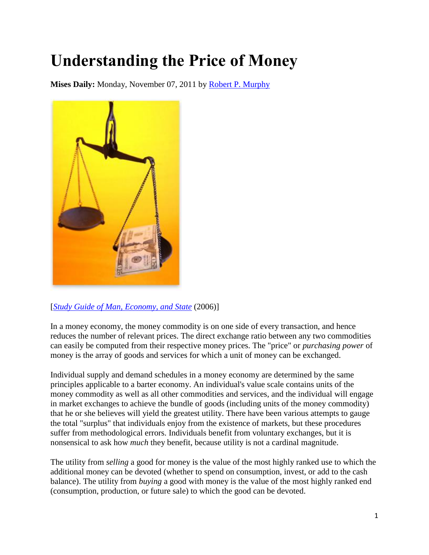# **Understanding the Price of Money**

**Mises Daily:** Monday, November 07, 2011 by [Robert P. Murphy](http://mises.org/daily/author/380/Robert-P-Murphy)



## [*[Study Guide of Man, Economy, and State](http://mises.org/store/Man-Economy-and-State-with-Power-and-Market-Study-Guide-P304.aspx)* (2006)]

In a money economy, the money commodity is on one side of every transaction, and hence reduces the number of relevant prices. The direct exchange ratio between any two commodities can easily be computed from their respective money prices. The "price" or *purchasing power* of money is the array of goods and services for which a unit of money can be exchanged.

Individual supply and demand schedules in a money economy are determined by the same principles applicable to a barter economy. An individual's value scale contains units of the money commodity as well as all other commodities and services, and the individual will engage in market exchanges to achieve the bundle of goods (including units of the money commodity) that he or she believes will yield the greatest utility. There have been various attempts to gauge the total "surplus" that individuals enjoy from the existence of markets, but these procedures suffer from methodological errors. Individuals benefit from voluntary exchanges, but it is nonsensical to ask how *much* they benefit, because utility is not a cardinal magnitude.

The utility from *selling* a good for money is the value of the most highly ranked use to which the additional money can be devoted (whether to spend on consumption, invest, or add to the cash balance). The utility from *buying* a good with money is the value of the most highly ranked end (consumption, production, or future sale) to which the good can be devoted.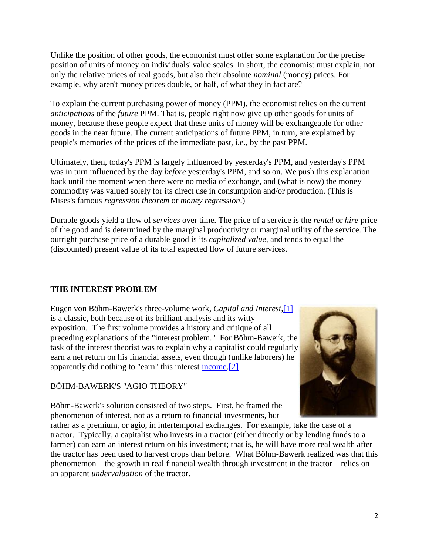Unlike the position of other goods, the economist must offer some explanation for the precise position of units of money on individuals' value scales. In short, the economist must explain, not only the relative prices of real goods, but also their absolute *nominal* (money) prices. For example, why aren't money prices double, or half, of what they in fact are?

To explain the current purchasing power of money (PPM), the economist relies on the current *anticipations* of the *future* PPM. That is, people right now give up other goods for units of money, because these people expect that these units of money will be exchangeable for other goods in the near future. The current anticipations of future PPM, in turn, are explained by people's memories of the prices of the immediate past, i.e., by the past PPM.

Ultimately, then, today's PPM is largely influenced by yesterday's PPM, and yesterday's PPM was in turn influenced by the day *before* yesterday's PPM, and so on. We push this explanation back until the moment when there were no media of exchange, and (what is now) the money commodity was valued solely for its direct use in consumption and/or production. (This is Mises's famous *regression theorem* or *money regression*.)

Durable goods yield a flow of *services* over time. The price of a service is the *rental* or *hire* price of the good and is determined by the marginal productivity or marginal utility of the service. The outright purchase price of a durable good is its *capitalized value,* and tends to equal the (discounted) present value of its total expected flow of future services.

---

## **THE INTEREST PROBLEM**

Eugen von Böhm-Bawerk's three-volume work, *Capital and Interest*[,\[1\]](http://mises.org/daily/1263#_ftn1) is a classic, both because of its brilliant analysis and its witty exposition. The first volume provides a history and critique of all preceding explanations of the "interest problem." For Böhm-Bawerk, the task of the interest theorist was to explain why a capitalist could regularly earn a net return on his financial assets, even though (unlike laborers) he apparently did nothing to "earn" this interest [income.](http://mises.org/daily/1263)[\[2\]](http://mises.org/daily/1263#_ftn2)

### BÖHM-BAWERK'S "AGIO THEORY"



Böhm-Bawerk's solution consisted of two steps. First, he framed the phenomenon of interest, not as a return to financial investments, but

rather as a premium, or agio, in intertemporal exchanges. For example, take the case of a tractor. Typically, a capitalist who invests in a tractor (either directly or by lending funds to a farmer) can earn an interest return on his investment; that is, he will have more real wealth after the tractor has been used to harvest crops than before. What Böhm-Bawerk realized was that this phenomemon—the growth in real financial wealth through investment in the tractor—relies on an apparent *undervaluation* of the tractor.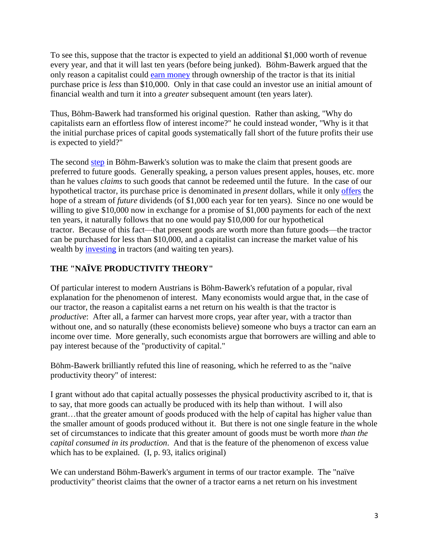To see this, suppose that the tractor is expected to yield an additional \$1,000 worth of revenue every year, and that it will last ten years (before being junked). Böhm-Bawerk argued that the only reason a capitalist could [earn money](http://mises.org/daily/1263) through ownership of the tractor is that its initial purchase price is *less* than \$10,000. Only in that case could an investor use an initial amount of financial wealth and turn it into a *greater* subsequent amount (ten years later).

Thus, Böhm-Bawerk had transformed his original question. Rather than asking, "Why do capitalists earn an effortless flow of interest income?" he could instead wonder, "Why is it that the initial purchase prices of capital goods systematically fall short of the future profits their use is expected to yield?"

The second [step](http://mises.org/daily/1263) in Böhm-Bawerk's solution was to make the claim that present goods are preferred to future goods. Generally speaking, a person values present apples, houses, etc. more than he values *claims* to such goods that cannot be redeemed until the future. In the case of our hypothetical tractor, its purchase price is denominated in *present* dollars, while it only [offers](http://mises.org/daily/1263) the hope of a stream of *future* dividends (of \$1,000 each year for ten years). Since no one would be willing to give \$10,000 now in exchange for a promise of \$1,000 payments for each of the next ten years, it naturally follows that no one would pay \$10,000 for our hypothetical tractor. Because of this fact—that present goods are worth more than future goods—the tractor can be purchased for less than \$10,000, and a capitalist can increase the market value of his wealth by *investing* in tractors (and waiting ten years).

## **THE "NAÏVE PRODUCTIVITY THEORY"**

Of particular interest to modern Austrians is Böhm-Bawerk's refutation of a popular, rival explanation for the phenomenon of interest. Many economists would argue that, in the case of our tractor, the reason a capitalist earns a net return on his wealth is that the tractor is *productive*: After all, a farmer can harvest more crops, year after year, with a tractor than without one, and so naturally (these economists believe) someone who buys a tractor can earn an income over time. More generally, such economists argue that borrowers are willing and able to pay interest because of the "productivity of capital."

Böhm-Bawerk brilliantly refuted this line of reasoning, which he referred to as the "naïve productivity theory" of interest:

I grant without ado that capital actually possesses the physical productivity ascribed to it, that is to say, that more goods can actually be produced with its help than without. I will also grant…that the greater amount of goods produced with the help of capital has higher value than the smaller amount of goods produced without it. But there is not one single feature in the whole set of circumstances to indicate that this greater amount of goods must be worth more *than the capital consumed in its production*. And that is the feature of the phenomenon of excess value which has to be explained. (I, p. 93, italics original)

We can understand Böhm-Bawerk's argument in terms of our tractor example. The "naïve productivity" theorist claims that the owner of a tractor earns a net return on his investment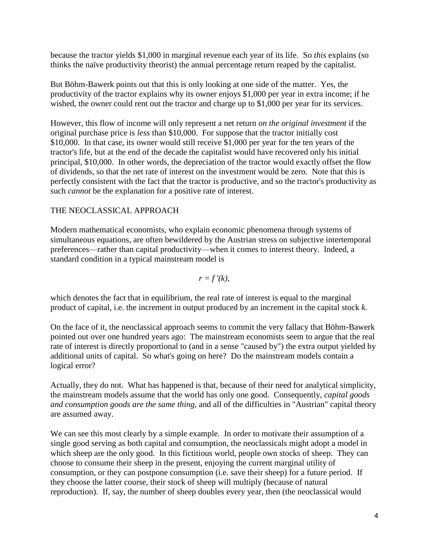because the tractor yields \$1,000 in marginal revenue each year of its life. So *this* explains (so thinks the naïve productivity theorist) the annual percentage return reaped by the capitalist.

But Böhm-Bawerk points out that this is only looking at one side of the matter. Yes, the productivity of the tractor explains why its owner enjoys \$1,000 per year in extra income; if he wished, the owner could rent out the tractor and charge up to \$1,000 per year for its services.

However, this flow of income will only represent a net return *on the original investment* if the original purchase price is *less* than \$10,000. For suppose that the tractor initially cost \$10,000. In that case, its owner would still receive \$1,000 per year for the ten years of the tractor's life, but at the end of the decade the capitalist would have recovered only his initial principal, \$10,000. In other words, the depreciation of the tractor would exactly offset the flow of dividends, so that the net rate of interest on the investment would be zero. Note that this is perfectly consistent with the fact that the tractor is productive, and so the tractor's productivity as such *cannot* be the explanation for a positive rate of interest.

### THE NEOCLASSICAL APPROACH

Modern mathematical economists, who explain economic phenomena through systems of simultaneous equations, are often bewildered by the Austrian stress on subjective intertemporal preferences—rather than capital productivity—when it comes to interest theory. Indeed, a standard condition in a typical mainstream model is

$$
r=f'(k),
$$

which denotes the fact that in equilibrium, the real rate of interest is equal to the marginal product of capital, i.e. the increment in output produced by an increment in the capital stock *k*.

On the face of it, the neoclassical approach seems to commit the very fallacy that Böhm-Bawerk pointed out over one hundred years ago: The mainstream economists seem to argue that the real rate of interest is directly proportional to (and in a sense "caused by") the extra output yielded by additional units of capital. So what's going on here? Do the mainstream models contain a logical error?

Actually, they do not. What has happened is that, because of their need for analytical simplicity, the mainstream models assume that the world has only one good. Consequently, *capital goods and consumption goods are the same thing*, and all of the difficulties in "Austrian" capital theory are assumed away.

We can see this most clearly by a simple example. In order to motivate their assumption of a single good serving as both capital and consumption, the neoclassicals might adopt a model in which sheep are the only good. In this fictitious world, people own stocks of sheep. They can choose to consume their sheep in the present, enjoying the current marginal utility of consumption, or they can postpone consumption (i.e. save their sheep) for a future period. If they choose the latter course, their stock of sheep will multiply (because of natural reproduction). If, say, the number of sheep doubles every year, then (the neoclassical would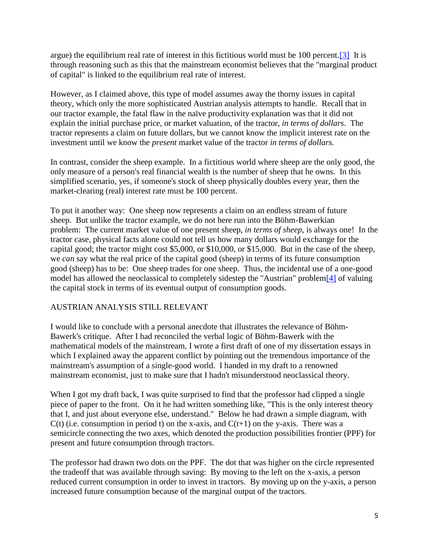argue) the equilibrium real rate of interest in this fictitious world must be 100 percent[.\[3\]](http://mises.org/daily/1263#_ftn3) It is through reasoning such as this that the mainstream economist believes that the "marginal product of capital" is linked to the equilibrium real rate of interest.

However, as I claimed above, this type of model assumes away the thorny issues in capital theory, which only the more sophisticated Austrian analysis attempts to handle. Recall that in our tractor example, the fatal flaw in the naïve productivity explanation was that it did not explain the initial purchase price, or market valuation, of the tractor, *in terms of dollars*. The tractor represents a claim on future dollars, but we cannot know the implicit interest rate on the investment until we know the *present* market value of the tractor *in terms of dollars.*

In contrast, consider the sheep example. In a fictitious world where sheep are the only good, the only measure of a person's real financial wealth is the number of sheep that he owns. In this simplified scenario, yes, if someone's stock of sheep physically doubles every year, then the market-clearing (real) interest rate must be 100 percent.

To put it another way: One sheep now represents a claim on an endless stream of future sheep. But unlike the tractor example, we do not here run into the Böhm-Bawerkian problem: The current market value of one present sheep, *in terms of sheep*, is always one! In the tractor case, physical facts alone could not tell us how many dollars would exchange for the capital good; the tractor might cost \$5,000, or \$10,000, or \$15,000. But in the case of the sheep, we *can* say what the real price of the capital good (sheep) in terms of its future consumption good (sheep) has to be: One sheep trades for one sheep. Thus, the incidental use of a one-good model has allowed the neoclassical to completely sidestep the "Austrian" problem $[4]$  of valuing the capital stock in terms of its eventual output of consumption goods.

### AUSTRIAN ANALYSIS STILL RELEVANT

I would like to conclude with a personal anecdote that illustrates the relevance of Böhm-Bawerk's critique. After I had reconciled the verbal logic of Böhm-Bawerk with the mathematical models of the mainstream, I wrote a first draft of one of my dissertation essays in which I explained away the apparent conflict by pointing out the tremendous importance of the mainstream's assumption of a single-good world. I handed in my draft to a renowned mainstream economist, just to make sure that I hadn't misunderstood neoclassical theory.

When I got my draft back, I was quite surprised to find that the professor had clipped a single piece of paper to the front. On it he had written something like, "This is the only interest theory that I, and just about everyone else, understand." Below he had drawn a simple diagram, with  $C(t)$  (i.e. consumption in period t) on the x-axis, and  $C(t+1)$  on the y-axis. There was a semicircle connecting the two axes, which denoted the production possibilities frontier (PPF) for present and future consumption through tractors.

The professor had drawn two dots on the PPF. The dot that was higher on the circle represented the tradeoff that was available through saving: By moving to the left on the x-axis, a person reduced current consumption in order to invest in tractors. By moving up on the y-axis, a person increased future consumption because of the marginal output of the tractors.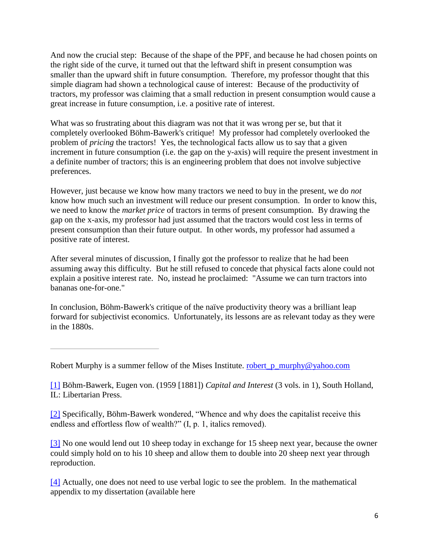And now the crucial step: Because of the shape of the PPF, and because he had chosen points on the right side of the curve, it turned out that the leftward shift in present consumption was smaller than the upward shift in future consumption. Therefore, my professor thought that this simple diagram had shown a technological cause of interest: Because of the productivity of tractors, my professor was claiming that a small reduction in present consumption would cause a great increase in future consumption, i.e. a positive rate of interest.

What was so frustrating about this diagram was not that it was wrong per se, but that it completely overlooked Böhm-Bawerk's critique! My professor had completely overlooked the problem of *pricing* the tractors! Yes, the technological facts allow us to say that a given increment in future consumption (i.e. the gap on the y-axis) will require the present investment in a definite number of tractors; this is an engineering problem that does not involve subjective preferences.

However, just because we know how many tractors we need to buy in the present, we do *not*  know how much such an investment will reduce our present consumption. In order to know this, we need to know the *market price* of tractors in terms of present consumption. By drawing the gap on the x-axis, my professor had just assumed that the tractors would cost less in terms of present consumption than their future output. In other words, my professor had assumed a positive rate of interest.

After several minutes of discussion, I finally got the professor to realize that he had been assuming away this difficulty. But he still refused to concede that physical facts alone could not explain a positive interest rate. No, instead he proclaimed: "Assume we can turn tractors into bananas one-for-one."

In conclusion, Böhm-Bawerk's critique of the naïve productivity theory was a brilliant leap forward for subjectivist economics. Unfortunately, its lessons are as relevant today as they were in the 1880s.

Robert Murphy is a summer fellow of the Mises Institute. **robert\_p\_murphy@yahoo.com** 

[\[1\]](http://mises.org/daily/1263#_ftnref1) Böhm-Bawerk, Eugen von. (1959 [1881]) *Capital and Interest* (3 vols. in 1), South Holland, IL: Libertarian Press.

[\[2\]](http://mises.org/daily/1263#_ftnref2) Specifically, Böhm-Bawerk wondered, "Whence and why does the capitalist receive this endless and effortless flow of wealth?" (I, p. 1, italics removed).

[\[3\]](http://mises.org/daily/1263#_ftnref3) No one would lend out 10 sheep today in exchange for 15 sheep next year, because the owner could simply hold on to his 10 sheep and allow them to double into 20 sheep next year through reproduction.

[\[4\]](http://mises.org/daily/1263#_ftnref4) Actually, one does not need to use verbal logic to see the problem. In the mathematical appendix to my dissertation (available here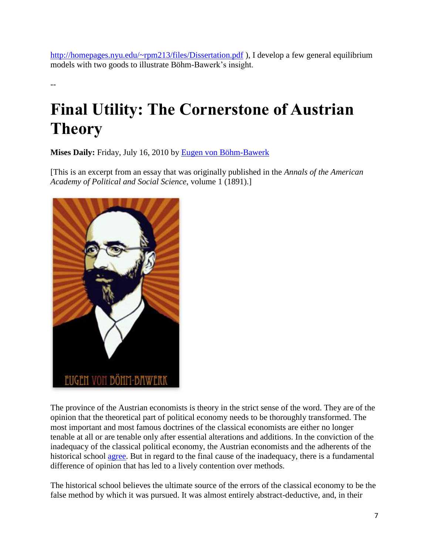<http://homepages.nyu.edu/~rpm213/files/Dissertation.pdf>), I develop a few general equilibrium models with two goods to illustrate Böhm-Bawerk's insight.

# **Final Utility: The Cornerstone of Austrian Theory**

**Mises Daily:** Friday, July 16, 2010 by [Eugen von Böhm-Bawerk](http://mises.org/daily/author/107/Eugen-von-BohmBawerk)

[This is an excerpt from an essay that was originally published in the *Annals of the American Academy of Political and Social Science*, volume 1 (1891).]



--

The province of the Austrian economists is theory in the strict sense of the word. They are of the opinion that the theoretical part of political economy needs to be thoroughly transformed. The most important and most famous doctrines of the classical economists are either no longer tenable at all or are tenable only after essential alterations and additions. In the conviction of the inadequacy of the classical political economy, the Austrian economists and the adherents of the historical school [agree.](http://mises.org/daily/4356/Final-Utility-The-Cornerstone-of-Austrian-Theory) But in regard to the final cause of the inadequacy, there is a fundamental difference of opinion that has led to a lively contention over methods.

The historical school believes the ultimate source of the errors of the classical economy to be the false method by which it was pursued. It was almost entirely abstract-deductive, and, in their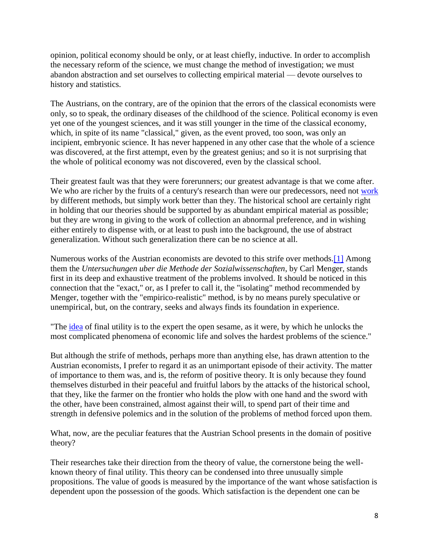opinion, political economy should be only, or at least chiefly, inductive. In order to accomplish the necessary reform of the science, we must change the method of investigation; we must abandon abstraction and set ourselves to collecting empirical material — devote ourselves to history and statistics.

The Austrians, on the contrary, are of the opinion that the errors of the classical economists were only, so to speak, the ordinary diseases of the childhood of the science. Political economy is even yet one of the youngest sciences, and it was still younger in the time of the classical economy, which, in spite of its name "classical," given, as the event proved, too soon, was only an incipient, embryonic science. It has never happened in any other case that the whole of a science was discovered, at the first attempt, even by the greatest genius; and so it is not surprising that the whole of political economy was not discovered, even by the classical school.

Their greatest fault was that they were forerunners; our greatest advantage is that we come after. We who are richer by the fruits of a century's research than were our predecessors, need not [work](http://mises.org/daily/4356/Final-Utility-The-Cornerstone-of-Austrian-Theory) by different methods, but simply work better than they. The historical school are certainly right in holding that our theories should be supported by as abundant empirical material as possible; but they are wrong in giving to the work of collection an abnormal preference, and in wishing either entirely to dispense with, or at least to push into the background, the use of abstract generalization. Without such generalization there can be no science at all.

Numerous works of the Austrian economists are devoted to this strife over methods[.\[1\]](http://mises.org/daily/4356/Final-Utility-The-Cornerstone-of-Austrian-Theory#note1) Among them the *Untersuchungen uber die Methode der Sozialwissenschaften*, by Carl Menger, stands first in its deep and exhaustive treatment of the problems involved. It should be noticed in this connection that the "exact," or, as I prefer to call it, the "isolating" method recommended by Menger, together with the "empirico-realistic" method, is by no means purely speculative or unempirical, but, on the contrary, seeks and always finds its foundation in experience.

"The [idea](http://mises.org/daily/4356/Final-Utility-The-Cornerstone-of-Austrian-Theory) of final utility is to the expert the open sesame, as it were, by which he unlocks the most complicated phenomena of economic life and solves the hardest problems of the science."

But although the strife of methods, perhaps more than anything else, has drawn attention to the Austrian economists, I prefer to regard it as an unimportant episode of their activity. The matter of importance to them was, and is, the reform of positive theory. It is only because they found themselves disturbed in their peaceful and fruitful labors by the attacks of the historical school, that they, like the farmer on the frontier who holds the plow with one hand and the sword with the other, have been constrained, almost against their will, to spend part of their time and strength in defensive polemics and in the solution of the problems of method forced upon them.

What, now, are the peculiar features that the Austrian School presents in the domain of positive theory?

Their researches take their direction from the theory of value, the cornerstone being the wellknown theory of final utility. This theory can be condensed into three unusually simple propositions. The value of goods is measured by the importance of the want whose satisfaction is dependent upon the possession of the goods. Which satisfaction is the dependent one can be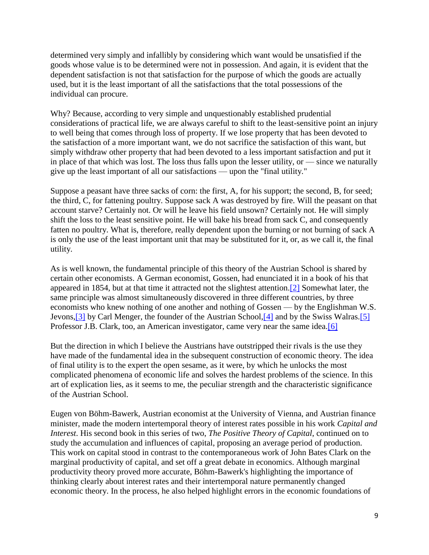determined very simply and infallibly by considering which want would be unsatisfied if the goods whose value is to be determined were not in possession. And again, it is evident that the dependent satisfaction is not that satisfaction for the purpose of which the goods are actually used, but it is the least important of all the satisfactions that the total possessions of the individual can procure.

Why? Because, according to very simple and unquestionably established prudential considerations of practical life, we are always careful to shift to the least-sensitive point an injury to well being that comes through loss of property. If we lose property that has been devoted to the satisfaction of a more important want, we do not sacrifice the satisfaction of this want, but simply withdraw other property that had been devoted to a less important satisfaction and put it in place of that which was lost. The loss thus falls upon the lesser utility, or — since we naturally give up the least important of all our satisfactions — upon the "final utility."

Suppose a peasant have three sacks of corn: the first, A, for his support; the second, B, for seed; the third, C, for fattening poultry. Suppose sack A was destroyed by fire. Will the peasant on that account starve? Certainly not. Or will he leave his field unsown? Certainly not. He will simply shift the loss to the least sensitive point. He will bake his bread from sack C, and consequently fatten no poultry. What is, therefore, really dependent upon the burning or not burning of sack A is only the use of the least important unit that may be substituted for it, or, as we call it, the final utility.

As is well known, the fundamental principle of this theory of the Austrian School is shared by certain other economists. A German economist, Gossen, had enunciated it in a book of his that appeared in 1854, but at that time it attracted not the slightest attention[.\[2\]](http://mises.org/daily/4356/Final-Utility-The-Cornerstone-of-Austrian-Theory#note2) Somewhat later, the same principle was almost simultaneously discovered in three different countries, by three economists who knew nothing of one another and nothing of Gossen — by the Englishman W.S. Jevons[,\[3\]](http://mises.org/daily/4356/Final-Utility-The-Cornerstone-of-Austrian-Theory#note3) by Carl Menger, the founder of the Austrian School[,\[4\]](http://mises.org/daily/4356/Final-Utility-The-Cornerstone-of-Austrian-Theory#note4) and by the Swiss Walras[.\[5\]](http://mises.org/daily/4356/Final-Utility-The-Cornerstone-of-Austrian-Theory#note5) Professor J.B. Clark, too, an American investigator, came very near the same idea.<sup>[6]</sup>

But the direction in which I believe the Austrians have outstripped their rivals is the use they have made of the fundamental idea in the subsequent construction of economic theory. The idea of final utility is to the expert the open sesame, as it were, by which he unlocks the most complicated phenomena of economic life and solves the hardest problems of the science. In this art of explication lies, as it seems to me, the peculiar strength and the characteristic significance of the Austrian School.

Eugen von Böhm-Bawerk, Austrian economist at the University of Vienna, and Austrian finance minister, made the modern intertemporal theory of interest rates possible in his work *Capital and Interest*. His second book in this series of two, *The Positive Theory of Capital*, continued on to study the accumulation and influences of capital, proposing an average period of production. This work on capital stood in contrast to the contemporaneous work of John Bates Clark on the marginal productivity of capital, and set off a great debate in economics. Although marginal productivity theory proved more accurate, Böhm-Bawerk's highlighting the importance of thinking clearly about interest rates and their intertemporal nature permanently changed economic theory. In the process, he also helped highlight errors in the economic foundations of